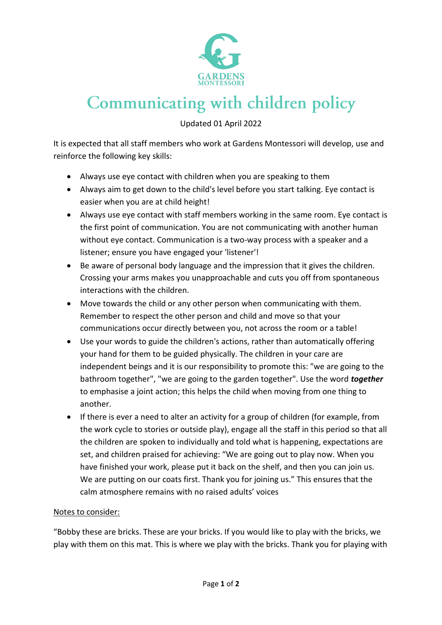

## Communicating with children policy

Updated 01 April 2022

It is expected that all staff members who work at Gardens Montessori will develop, use and reinforce the following key skills:

- Always use eye contact with children when you are speaking to them
- Always aim to get down to the child's level before you start talking. Eye contact is easier when you are at child height!
- Always use eye contact with staff members working in the same room. Eye contact is the first point of communication. You are not communicating with another human without eye contact. Communication is a two-way process with a speaker and a listener; ensure you have engaged your 'listener'!
- Be aware of personal body language and the impression that it gives the children. Crossing your arms makes you unapproachable and cuts you off from spontaneous interactions with the children.
- Move towards the child or any other person when communicating with them. Remember to respect the other person and child and move so that your communications occur directly between you, not across the room or a table!
- Use your words to guide the children's actions, rather than automatically offering your hand for them to be guided physically. The children in your care are independent beings and it is our responsibility to promote this: "we are going to the bathroom together", "we are going to the garden together". Use the word *together* to emphasise a joint action; this helps the child when moving from one thing to another.
- If there is ever a need to alter an activity for a group of children (for example, from the work cycle to stories or outside play), engage all the staff in this period so that all the children are spoken to individually and told what is happening, expectations are set, and children praised for achieving: "We are going out to play now. When you have finished your work, please put it back on the shelf, and then you can join us. We are putting on our coats first. Thank you for joining us." This ensures that the calm atmosphere remains with no raised adults' voices

## Notes to consider:

"Bobby these are bricks. These are your bricks. If you would like to play with the bricks, we play with them on this mat. This is where we play with the bricks. Thank you for playing with